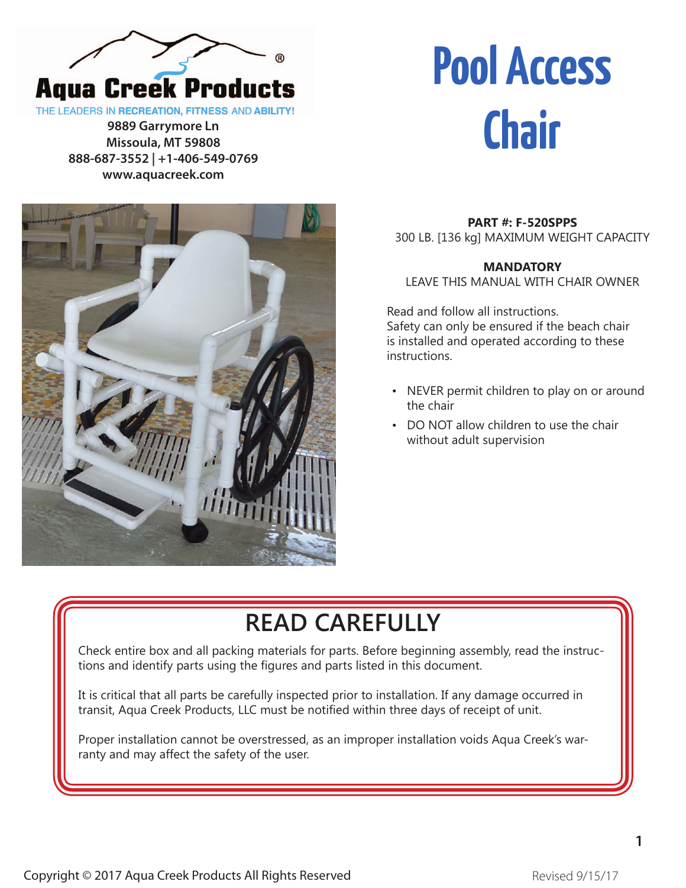

THE LEADERS IN RECREATION, FITNESS AND ABILITY!

**9889 Garrymore Ln Missoula, MT 59808 888-687-3552 | +1-406-549-0769 www.aquacreek.com**

# **Chair**



**PART #: F-520SPPS** 300 LB. [136 kg] MAXIMUM WEIGHT CAPACITY

**Pool Access**

#### **MANDATORY**  LEAVE THIS MANUAL WITH CHAIR OWNER

Read and follow all instructions. Safety can only be ensured if the beach chair is installed and operated according to these instructions.

- NEVER permit children to play on or around the chair
- DO NOT allow children to use the chair without adult supervision

### **READ CAREFULLY**

Check entire box and all packing materials for parts. Before beginning assembly, read the instructions and identify parts using the figures and parts listed in this document.

It is critical that all parts be carefully inspected prior to installation. If any damage occurred in transit, Aqua Creek Products, LLC must be notified within three days of receipt of unit.

Proper installation cannot be overstressed, as an improper installation voids Aqua Creek's warranty and may affect the safety of the user.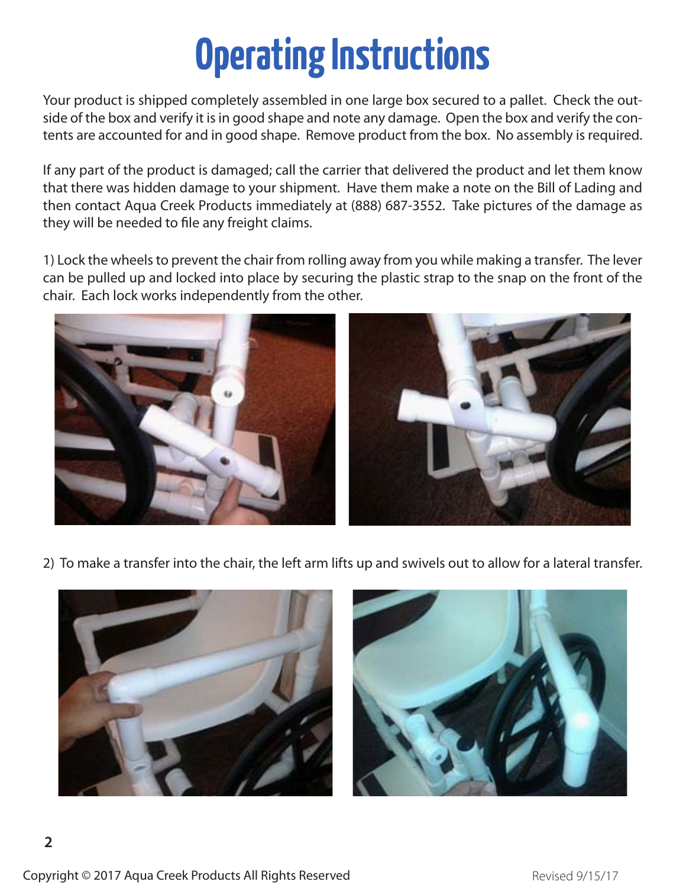## **Operating Instructions**

Your product is shipped completely assembled in one large box secured to a pallet. Check the outside of the box and verify it is in good shape and note any damage. Open the box and verify the contents are accounted for and in good shape. Remove product from the box. No assembly is required.

If any part of the product is damaged; call the carrier that delivered the product and let them know that there was hidden damage to your shipment. Have them make a note on the Bill of Lading and then contact Aqua Creek Products immediately at (888) 687-3552. Take pictures of the damage as they will be needed to file any freight claims.

1) Lock the wheels to prevent the chair from rolling away from you while making a transfer. The lever can be pulled up and locked into place by securing the plastic strap to the snap on the front of the chair. Each lock works independently from the other.



2) To make a transfer into the chair, the left arm lifts up and swivels out to allow for a lateral transfer.



Copyright © 2017 Aqua Creek Products All Rights Reserved **Example 2017** Revised 9/15/17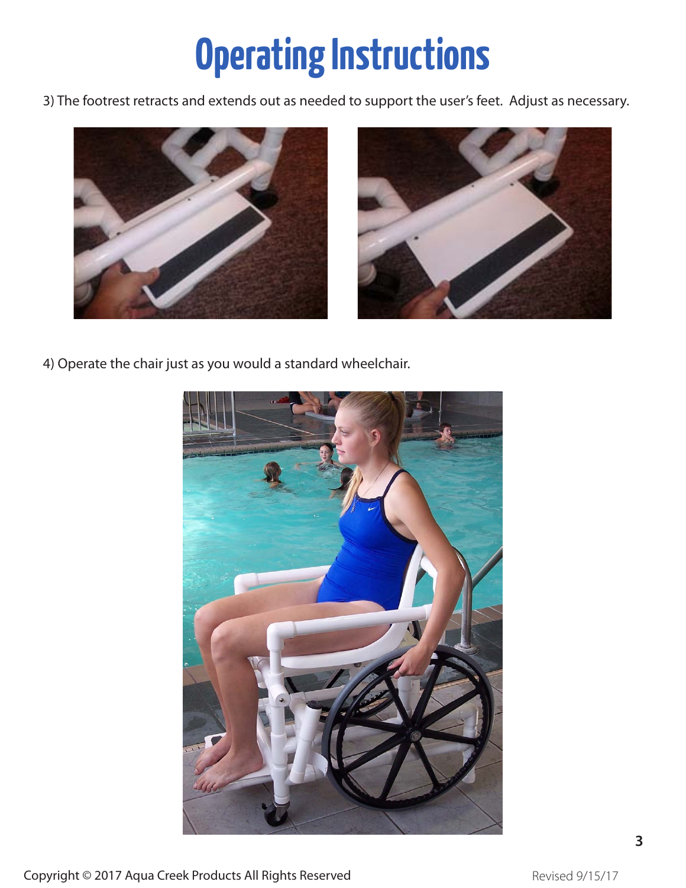## **Operating Instructions**

3) The footrest retracts and extends out as needed to support the user's feet. Adjust as necessary.



4) Operate the chair just as you would a standard wheelchair.